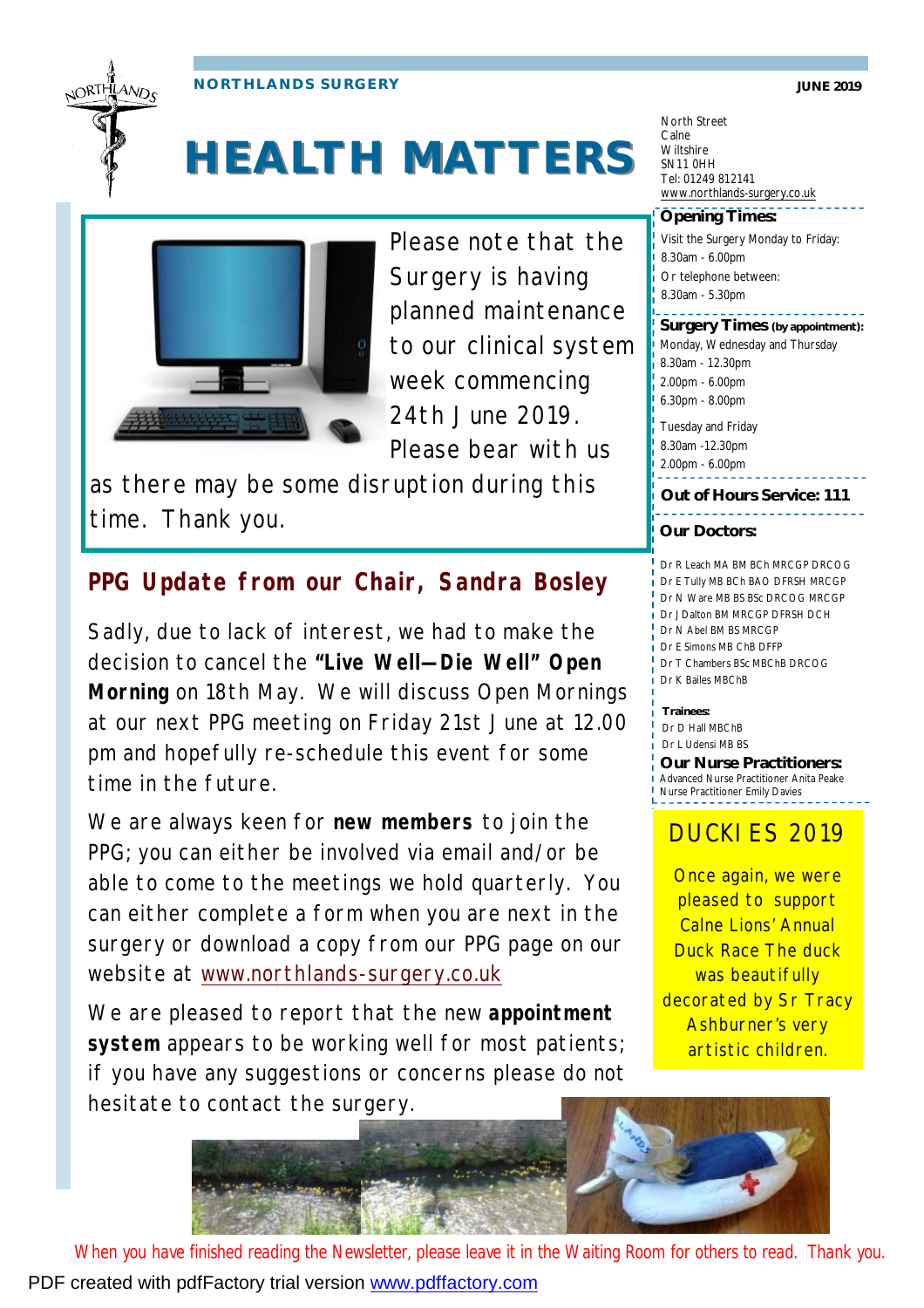JORTHLAND<sub>C</sub>

**NORTHLANDS SURGERY JUNE 2019** 

# **HEALTH MATTERS**



Please note that the Surgery is having planned maintenance to our clinical system week commencing 24th June 2019. Please bear with us

as there may be some disruption during this time. Thank you.

## **PPG Update from our Chair, Sandra Bosley**

Sadly, due to lack of interest, we had to make the decision to cancel the **"Live Well—Die Well" Open Morning** on 18th May. We will discuss Open Mornings at our next PPG meeting on Friday 21st June at 12.00 pm and hopefully re-schedule this event for some time in the future.

We are always keen for **new members** to join the PPG; you can either be involved via email and/or be able to come to the meetings we hold quarterly. You can either complete a form when you are next in the surgery or download a copy from our PPG page on our website at [www.northlands-surgery.co.uk](http://www.northlands-surgery.co.uk)

We are pleased to report that the new **appointment system** appears to be working well for most patients; if you have any suggestions or concerns please do not hesitate to contact the surgery.

North Street Calne Wiltshire SN11 0HH Tel: 01249 812141 [www.northlands-surgery.co.uk](http://www.northlands-surgery.co.uk)

### **Opening Times:**

Visit the Surgery Monday to Friday: 8.30am - 6.00pm Or telephone between: 8.30am - 5.30pm

Monday, Wednesday and Thursday 8.30am - 12.30pm 2.00pm - 6.00pm 6.30pm - 8.00pm **Surgery Times (by appointment):**

Tuesday and Friday 8.30am -12.30pm

2.00pm - 6.00pm

**Out of Hours Service: 111**

### **Our Doctors:**

Dr R Leach MA BM BCh MRCGP DRCOG Dr E Tully MB BCh BAO DFRSH MRCGP Dr N Ware MB BS BSc DRCOG MRCGP Dr J Dalton BM MRCGP DFRSH DCH Dr N Abel BM BS MRCGP Dr E Simons MB ChB DFFP Dr T Chambers BSc MBChB DRCOG Dr K Bailes MBChB

**Trainees:** Dr D Hall MBChB Dr L Udensi MB BS

**Our Nurse Practitioners:**  Advanced Nurse Practitioner Anita Peake Nurse Practitioner Emily Davies

## DUCKIES 2019

Once again, we were pleased to support Calne Lions' Annual Duck Race The duck was beautifully decorated by Sr Tracy Ashburner's very artistic children.



*When you have finished reading the Newsletter, please leave it in the Waiting Room for others to read. Thank you.*  PDF created with pdfFactory trial version [www.pdffactory.com](http://www.pdffactory.com)